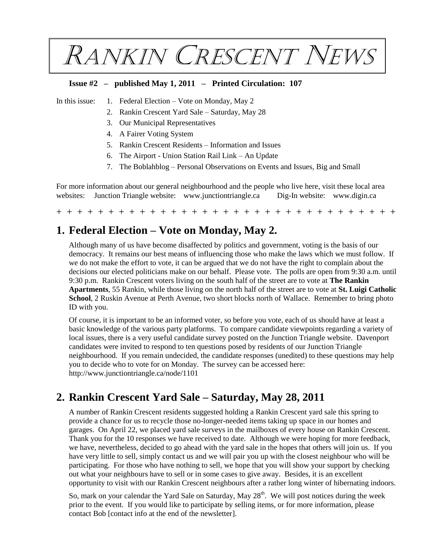RANKIN CRESCENT NEWS

### **Issue #2 – published May 1, 2011 – Printed Circulation: 107**

- In this issue: 1. Federal Election Vote on Monday, May 2
	- 2. Rankin Crescent Yard Sale Saturday, May 28
	- 3. Our Municipal Representatives
	- 4. A Fairer Voting System
	- 5. Rankin Crescent Residents Information and Issues
	- 6. The Airport Union Station Rail Link An Update
	- 7. The Boblahblog Personal Observations on Events and Issues, Big and Small

For more information about our general neighbourhood and the people who live here, visit these local area websites: Junction Triangle website: [www.junctiontriangle.ca](https://www.junctiontriangle.ca/) Dig-In website: [www.digin.ca](http://www.digin.ca/)

+ + + + + + + + + + + + + + + + + + + + + + + + + + + + + + + + +

# **1. Federal Election – Vote on Monday, May 2.**

Although many of us have become disaffected by politics and government, voting is the basis of our democracy. It remains our best means of influencing those who make the laws which we must follow. If we do not make the effort to vote, it can be argued that we do not have the right to complain about the decisions our elected politicians make on our behalf. Please vote. The polls are open from 9:30 a.m. until 9:30 p.m. Rankin Crescent voters living on the south half of the street are to vote at **The Rankin Apartments**, 55 Rankin, while those living on the north half of the street are to vote at **St. Luigi Catholic School**, 2 Ruskin Avenue at Perth Avenue, two short blocks north of Wallace. Remember to bring photo ID with you.

Of course, it is important to be an informed voter, so before you vote, each of us should have at least a basic knowledge of the various party platforms. To compare candidate viewpoints regarding a variety of local issues, there is a very useful candidate survey posted on the Junction Triangle website. Davenport candidates were invited to respond to ten questions posed by residents of our [Junction Triangle](https://www.junctiontriangle.ca/) neighbourhood. If you remain undecided, the candidate responses (unedited) to these questions may help you to decide who to vote for on Monday. The survey can be accessed here: [http://www.junctiontriangle.ca/node/1101](https://www.junctiontriangle.ca/node/1101)

## **2. Rankin Crescent Yard Sale – Saturday, May 28, 2011**

A number of Rankin Crescent residents suggested holding a Rankin Crescent yard sale this spring to provide a chance for us to recycle those no-longer-needed items taking up space in our homes and garages. On April 22, we placed yard sale surveys in the mailboxes of every house on Rankin Crescent. Thank you for the 10 responses we have received to date. Although we were hoping for more feedback, we have, nevertheless, decided to go ahead with the yard sale in the hopes that others will join us. If you have very little to sell, simply contact us and we will pair you up with the closest neighbour who will be participating. For those who have nothing to sell, we hope that you will show your support by checking out what your neighbours have to sell or in some cases to give away. Besides, it is an excellent opportunity to visit with our Rankin Crescent neighbours after a rather long winter of hibernating indoors.

So, mark on your calendar the Yard Sale on Saturday, May 28<sup>th</sup>. We will post notices during the week prior to the event. If you would like to participate by selling items, or for more information, please contact Bob [contact info at the end of the newsletter].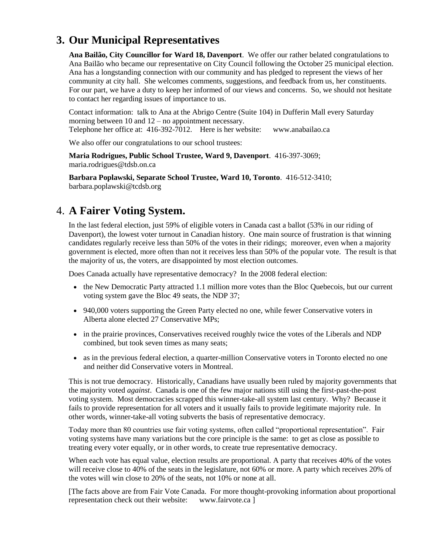# **3. Our Municipal Representatives**

**Ana Bailão, City Councillor for Ward 18, Davenport**. We offer our rather belated congratulations to Ana Bailão who became our representative on City Council following the October 25 municipal election. Ana has a longstanding connection with our community and has pledged to represent the views of her community at city hall. She welcomes comments, suggestions, and feedback from us, her constituents. For our part, we have a duty to keep her informed of our views and concerns. So, we should not hesitate to contact her regarding issues of importance to us.

Contact information: talk to Ana at the Abrigo Centre (Suite 104) in Dufferin Mall every Saturday morning between 10 and 12 – no appointment necessary. Telephone her office at: 416-392-7012. Here is her website: [www.anabailao.ca](http://www.anabailao.ca/)

We also offer our congratulations to our school trustees:

**Maria Rodrigues, Public School Trustee, Ward 9, Davenport**. 416-397-3069; maria.rodrigues@tdsb.on.ca

**Barbara Poplawski, Separate School Trustee, Ward 10, Toronto**. 416-512-3410; barbara.poplawski@tcdsb.org

### 4. **A Fairer Voting System.**

In the last federal election, just 59% of eligible voters in Canada cast a ballot (53% in our riding of Davenport), the lowest voter turnout in Canadian history. One main source of frustration is that winning candidates regularly receive less than 50% of the votes in their ridings; moreover, even when a majority government is elected, more often than not it receives less than 50% of the popular vote. The result is that the majority of us, the voters, are disappointed by most election outcomes.

Does Canada actually have representative democracy? In the 2008 federal election:

- the New Democratic Party attracted 1.1 million more votes than the Bloc Quebecois, but our current voting system gave the Bloc 49 seats, the NDP 37;
- 940,000 voters supporting the Green Party elected no one, while fewer Conservative voters in Alberta alone elected 27 Conservative MPs;
- in the prairie provinces, Conservatives received roughly twice the votes of the Liberals and NDP combined, but took seven times as many seats;
- as in the previous federal election, a quarter-million Conservative voters in Toronto elected no one and neither did Conservative voters in Montreal.

This is not true democracy. Historically, Canadians have usually been ruled by majority governments that the majority voted *against*. Canada is one of the few major nations still using the first-past-the-post voting system. Most democracies scrapped this winner-take-all system last century. Why? Because it fails to provide representation for all voters and it usually fails to provide legitimate majority rule. In other words, winner-take-all voting subverts the basis of representative democracy.

Today more than 80 countries use fair voting systems, often called "proportional representation". Fair voting systems have many variations but the core principle is the same: to get as close as possible to treating every voter equally, or in other words, to create true representative democracy.

When each vote has equal value, election results are proportional. A party that receives 40% of the votes will receive close to 40% of the seats in the legislature, not 60% or more. A party which receives 20% of the votes will win close to 20% of the seats, not 10% or none at all.

[The facts above are from Fair Vote Canada. For more thought-provoking information about proportional representation check out their website: [www.fairvote.ca](http://www.fairvote.ca/) ]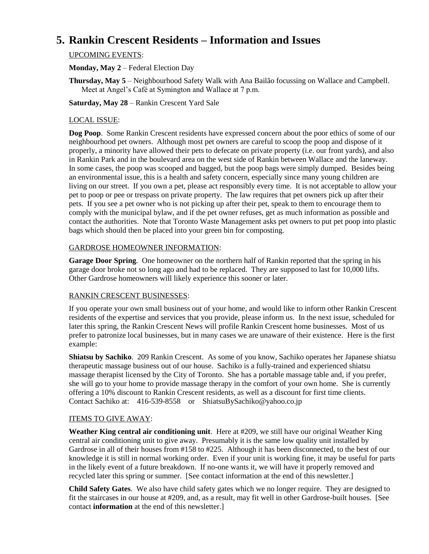# **5. Rankin Crescent Residents – Information and Issues**

### UPCOMING EVENTS:

**Monday, May 2** – Federal Election Day

**Thursday, May 5** – Neighbourhood Safety Walk with Ana Bailão focussing on Wallace and Campbell. Meet at Angel's Café at Symington and Wallace at 7 p.m.

**Saturday, May 28** – Rankin Crescent Yard Sale

### LOCAL ISSUE:

**Dog Poop**. Some Rankin Crescent residents have expressed concern about the poor ethics of some of our neighbourhood pet owners. Although most pet owners are careful to scoop the poop and dispose of it properly, a minority have allowed their pets to defecate on private property (i.e. our front yards), and also in Rankin Park and in the boulevard area on the west side of Rankin between Wallace and the laneway. In some cases, the poop was scooped and bagged, but the poop bags were simply dumped. Besides being an environmental issue, this is a health and safety concern, especially since many young children are living on our street. If you own a pet, please act responsibly every time. It is not acceptable to allow your pet to poop or pee or trespass on private property. The law requires that pet owners pick up after their pets. If you see a pet owner who is not picking up after their pet, speak to them to encourage them to comply with the municipal bylaw, and if the pet owner refuses, get as much information as possible and contact the authorities. Note that Toronto Waste Management asks pet owners to put pet poop into plastic bags which should then be placed into your green bin for composting.

### GARDROSE HOMEOWNER INFORMATION:

**Garage Door Spring**. One homeowner on the northern half of Rankin reported that the spring in his garage door broke not so long ago and had to be replaced. They are supposed to last for 10,000 lifts. Other Gardrose homeowners will likely experience this sooner or later.

#### RANKIN CRESCENT BUSINESSES:

If you operate your own small business out of your home, and would like to inform other Rankin Crescent residents of the expertise and services that you provide, please inform us. In the next issue, scheduled for later this spring, the Rankin Crescent News will profile Rankin Crescent home businesses. Most of us prefer to patronize local businesses, but in many cases we are unaware of their existence. Here is the first example:

**Shiatsu by Sachiko**. 209 Rankin Crescent. As some of you know, Sachiko operates her Japanese shiatsu therapeutic massage business out of our house. Sachiko is a fully-trained and experienced shiatsu massage therapist licensed by the City of Toronto. She has a portable massage table and, if you prefer, she will go to your home to provide massage therapy in the comfort of your own home. She is currently offering a 10% discount to Rankin Crescent residents, as well as a discount for first time clients. Contact Sachiko at: 416-539-8558 or ShiatsuBySachiko@yahoo.co.jp

#### ITEMS TO GIVE AWAY:

**Weather King central air conditioning unit**. Here at #209, we still have our original Weather King central air conditioning unit to give away. Presumably it is the same low quality unit installed by Gardrose in all of their houses from #158 to #225. Although it has been disconnected, to the best of our knowledge it is still in normal working order. Even if your unit is working fine, it may be useful for parts in the likely event of a future breakdown. If no-one wants it, we will have it properly removed and recycled later this spring or summer. [See contact information at the end of this newsletter.]

**Child Safety Gates**. We also have child safety gates which we no longer require. They are designed to fit the staircases in our house at #209, and, as a result, may fit well in other Gardrose-built houses. [See contact **information** at the end of this newsletter.]